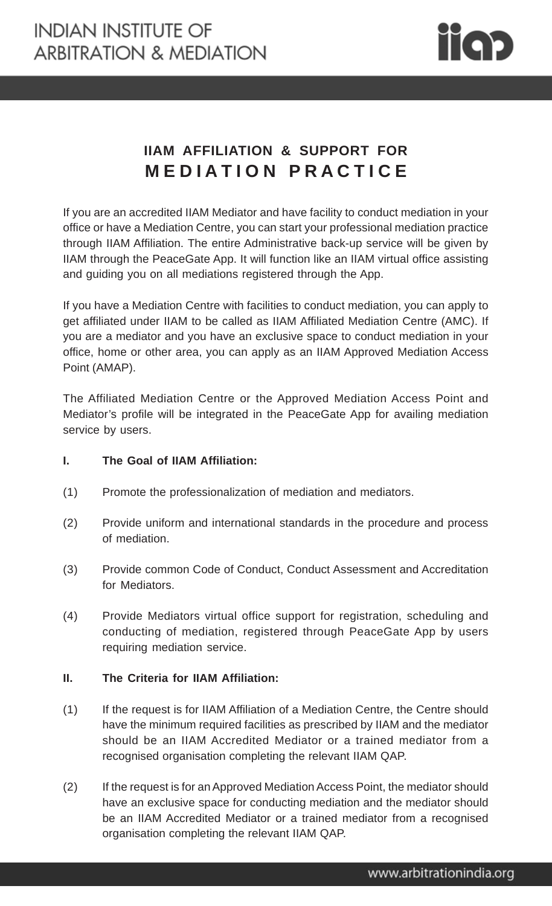

## **IIAM AFFILIATION & SUPPORT FOR M E D I A T I O N P R A C T I C E**

If you are an accredited IIAM Mediator and have facility to conduct mediation in your office or have a Mediation Centre, you can start your professional mediation practice through IIAM Affiliation. The entire Administrative back-up service will be given by IIAM through the PeaceGate App. It will function like an IIAM virtual office assisting and guiding you on all mediations registered through the App.

If you have a Mediation Centre with facilities to conduct mediation, you can apply to get affiliated under IIAM to be called as IIAM Affiliated Mediation Centre (AMC). If you are a mediator and you have an exclusive space to conduct mediation in your office, home or other area, you can apply as an IIAM Approved Mediation Access Point (AMAP).

The Affiliated Mediation Centre or the Approved Mediation Access Point and Mediator's profile will be integrated in the PeaceGate App for availing mediation service by users.

## **I. The Goal of IIAM Affiliation:**

- (1) Promote the professionalization of mediation and mediators.
- (2) Provide uniform and international standards in the procedure and process of mediation.
- (3) Provide common Code of Conduct, Conduct Assessment and Accreditation for Mediators.
- (4) Provide Mediators virtual office support for registration, scheduling and conducting of mediation, registered through PeaceGate App by users requiring mediation service.

## **II. The Criteria for IIAM Affiliation:**

- (1) If the request is for IIAM Affiliation of a Mediation Centre, the Centre should have the minimum required facilities as prescribed by IIAM and the mediator should be an IIAM Accredited Mediator or a trained mediator from a recognised organisation completing the relevant IIAM QAP.
- (2) If the request is for an Approved Mediation Access Point, the mediator should have an exclusive space for conducting mediation and the mediator should be an IIAM Accredited Mediator or a trained mediator from a recognised organisation completing the relevant IIAM QAP.